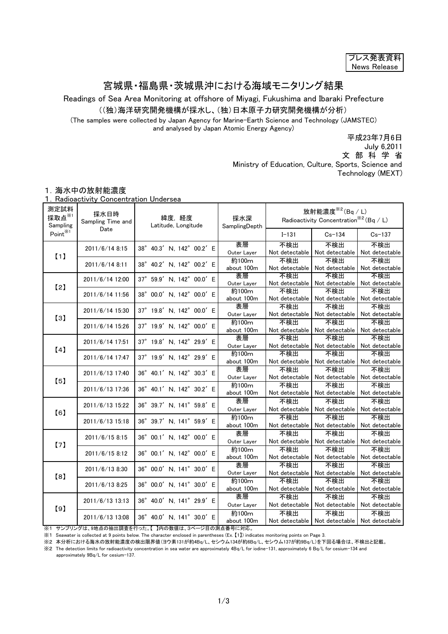| フレス発表資料      |
|--------------|
| News Release |

## 宮城県・福島県・茨城県沖における海域モニタリング結果

Readings of Sea Area Monitoring at offshore of Miyagi, Fukushima and Ibaraki Prefecture

((独)海洋研究開発機構が採水し、(独)日本原子力研究開発機構が分析)

(The samples were collected by Japan Agency for Marine-Earth Science and Technology (JAMSTEC) and analysed by Japan Atomic Energy Agency)

平成23年7月6日

July 6,2011

文 部 科 学 省

Ministry of Education, Culture, Sports, Science and Technology (MEXT)

## 1.海水中の放射能濃度

1.Radioactivity Concentration Undersea

| 測定試料<br>採取点 $*$<br>Sampling | 採水日時<br>Sampling Time and<br>Date | 緯度,経度<br>Latitude, Longitude | 採水深<br>SamplingDepth | 放射能濃度 $*$ <sup>2</sup> (Bq / L)<br>Radioactivity Concentration <sup>362</sup> (Bq / L) |                                                         |                       |
|-----------------------------|-----------------------------------|------------------------------|----------------------|----------------------------------------------------------------------------------------|---------------------------------------------------------|-----------------------|
| Point <sup>※1</sup>         |                                   |                              |                      | $I - 131$                                                                              | $Cs - 134$                                              | $Cs - 137$            |
| (1)                         | $2011/6/14$ 8:15                  | 38° 40.3' N, 142° 00.2' E    | 表層<br>Outer Layer    | 不検出<br>Not detectable                                                                  | 不検出<br>Not detectable                                   | 不検出<br>Not detectable |
|                             | 2011/6/14 8:11                    | 38° 40.2' N, 142° 00.2' E    | 約100m<br>about 100m  | 不検出<br>Not detectable                                                                  | 不検出<br>Not detectable                                   | 不検出<br>Not detectable |
| $\left[2\right]$            | 2011/6/14 12:00                   | 37° 59.9' N, 142° 00.0' E    | 表層<br>Outer Layer    | 不検出<br>Not detectable                                                                  | 不検出<br>Not detectable                                   | 不検出<br>Not detectable |
|                             | 2011/6/14 11:56                   | 38° 00.0' N, 142° 00.0' E    | 約100m<br>about 100m  | 不検出<br>Not detectable                                                                  | 不検出<br>Not detectable                                   | 不検出<br>Not detectable |
| [3]                         | 2011/6/14 15:30                   | 37° 19.8' N, 142° 00.0' E    | 表層<br>Outer Layer    | 不検出<br>Not detectable                                                                  | 不検出<br>Not detectable                                   | 不検出<br>Not detectable |
|                             | 2011/6/14 15:26                   | 37° 19.9' N, 142° 00.0' E    | 約100m<br>about 100m  | 不検出<br>Not detectable                                                                  | 不検出<br>Not detectable                                   | 不検出<br>Not detectable |
| [4]                         | 2011/6/14 17:51                   | 37° 19.8' N. 142° 29.9' E    | 表層<br>Outer Layer    | 不検出<br>Not detectable                                                                  | 不検出<br>Not detectable                                   | 不検出<br>Not detectable |
|                             | 2011/6/14 17:47                   | 37° 19.9' N, 142° 29.9' E    | 約100m<br>about 100m  | 不検出<br>Not detectable                                                                  | 不検出<br>Not detectable                                   | 不検出<br>Not detectable |
| [5]                         | 2011/6/13 17:40                   | 36° 40.1' N, 142° 30.3' E    | 表層<br>Outer Layer    | 不検出<br>Not detectable                                                                  | 不検出<br>Not detectable                                   | 不検出<br>Not detectable |
|                             | 2011/6/13 17:36                   | 36° 40.1' N, 142° 30.2' E    | 約100m<br>about 100m  | 不検出<br>Not detectable                                                                  | 不検出<br>Not detectable                                   | 不検出<br>Not detectable |
| [6]                         | 2011/6/13 15:22                   | 36° 39.7' N, 141° 59.8' E    | 表層<br>Outer Layer    | 不検出<br>Not detectable                                                                  | 不検出<br>Not detectable                                   | 不検出<br>Not detectable |
|                             | 2011/6/13 15:18                   | 36° 39.7' N, 141° 59.9' E    | 約100m<br>about 100m  | 不検出<br>Not detectable                                                                  | 不検出<br>Not detectable                                   | 不検出<br>Not detectable |
| [7]                         | 2011/6/15 8:15                    | 36° 00.1' N, 142° 00.0' E    | 表層<br>Outer Layer    | 不検出<br>Not detectable                                                                  | 不検出<br>Not detectable                                   | 不検出<br>Not detectable |
|                             | 2011/6/15 8:12                    | 36° 00.1' N, 142° 00.0' E    | 約100m<br>about 100m  | 不検出<br>Not detectable                                                                  | 不検出<br>Not detectable                                   | 不検出<br>Not detectable |
| [8]                         | 2011/6/13 8:30                    | 36° 00.0' N, 141° 30.0' E    | 表層<br>Outer Layer    | 不検出<br>Not detectable                                                                  | 不検出<br>Not detectable                                   | 不検出<br>Not detectable |
|                             | 2011/6/13 8:25                    | 36° 00.0' N, 141° 30.0' E    | 約100m<br>about 100m  | 不検出<br>Not detectable                                                                  | 不検出<br>Not detectable                                   | 不検出<br>Not detectable |
| [9]                         | 2011/6/13 13:13                   | 36° 40.0' N, 141° 29.9' E    | 表層<br>Outer Layer    | 不検出<br>Not detectable                                                                  | 不検出<br>Not detectable                                   | 不検出<br>Not detectable |
|                             | 2011/6/13 13:08                   | 36° 40.0' N, 141° 30.0' E    | 約100m<br>about 100m  | 不検出                                                                                    | 不検出<br>Not detectable   Not detectable   Not detectable | 不検出                   |

※1 サンプリングは、9地点の抽出調査を行った。【 】内の数値は、3ページ目の測点番号に対応。

※1 Seawater is collected at 9 points below. The character enclosed in parentheses (Ex. 【1】) indicates monitoring points on Page 3.

※2 本分析における海水の放射能濃度の検出限界値(ヨウ素131が約4Bq/L、セシウム134が約6Bq/L、セシウム137が約9Bq/L)を下回る場合は、不検出と記載。

※2 The detection limits for radioactivity concentration in sea water are approximately 4Bq/L for iodine-131, approximately 6 Bq/L for cesium-134 and approximately 9Bq/L for cesium-137.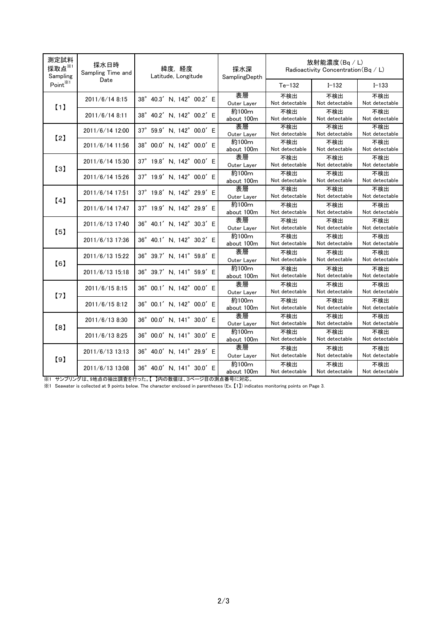| 測定試料<br>採取点 $*$<br>Sampling | 採水日時<br>Sampling Time and<br>Date | 緯度,経度<br>Latitude, Longitude | 採水深<br>SamplingDepth | 放射能濃度(Bq/L)<br>Radioactivity Concentration (Bq / L) |                       |                       |
|-----------------------------|-----------------------------------|------------------------------|----------------------|-----------------------------------------------------|-----------------------|-----------------------|
| $Point^{\divideontimes 1}$  |                                   |                              |                      | $Te-132$                                            | $I - 132$             | $I - 133$             |
| (1)                         | 2011/6/14 8:15                    | 38° 40.3' N, 142° 00.2' E    | 表層<br>Outer Layer    | 不検出<br>Not detectable                               | 不検出<br>Not detectable | 不検出<br>Not detectable |
|                             | 2011/6/14 8:11                    | 38° 40.2' N, 142° 00.2' E    | 約100m<br>about 100m  | 不検出<br>Not detectable                               | 不検出<br>Not detectable | 不検出<br>Not detectable |
| [2]                         | 2011/6/14 12:00                   | 37° 59.9' N, 142° 00.0' E    | 表層<br>Outer Layer    | 不検出<br>Not detectable                               | 不検出<br>Not detectable | 不検出<br>Not detectable |
|                             | 2011/6/14 11:56                   | 38° 00.0' N, 142° 00.0' E    | 約100m<br>about 100m  | 不検出<br>Not detectable                               | 不検出<br>Not detectable | 不検出<br>Not detectable |
| [3]                         | 2011/6/14 15:30                   | 37° 19.8' N, 142° 00.0' E    | 表層<br>Outer Layer    | 不検出<br>Not detectable                               | 不検出<br>Not detectable | 不検出<br>Not detectable |
|                             | 2011/6/14 15:26                   | 37° 19.9' N, 142° 00.0' E    | 約100m<br>about 100m  | 不検出<br>Not detectable                               | 不検出<br>Not detectable | 不検出<br>Not detectable |
| [4]                         | 2011/6/14 17:51                   | 37° 19.8' N, 142° 29.9' E    | 表層<br>Outer Layer    | 不検出<br>Not detectable                               | 不検出<br>Not detectable | 不検出<br>Not detectable |
|                             | 2011/6/14 17:47                   | 37° 19.9' N, 142° 29.9' E    | 約100m<br>about 100m  | 不検出<br>Not detectable                               | 不検出<br>Not detectable | 不検出<br>Not detectable |
| [5]                         | 2011/6/13 17:40                   | 36° 40.1' N, 142° 30.3' E    | 表層<br>Outer Layer    | 不検出<br>Not detectable                               | 不検出<br>Not detectable | 不検出<br>Not detectable |
|                             | 2011/6/13 17:36                   | 36° 40.1' N, 142° 30.2' E    | 約100m<br>about 100m  | 不検出<br>Not detectable                               | 不検出<br>Not detectable | 不検出<br>Not detectable |
| [6]                         | 2011/6/13 15:22                   | 36° 39.7' N, 141° 59.8' E    | 表層<br>Outer Layer    | 不検出<br>Not detectable                               | 不検出<br>Not detectable | 不検出<br>Not detectable |
|                             | 2011/6/13 15:18                   | 36° 39.7' N, 141° 59.9' E    | 約100m<br>about 100m  | 不検出<br>Not detectable                               | 不検出<br>Not detectable | 不検出<br>Not detectable |
| [7]                         | 2011/6/15 8:15                    | 36° 00.1' N, 142° 00.0' E    | 表層<br>Outer Layer    | 不検出<br>Not detectable                               | 不検出<br>Not detectable | 不検出<br>Not detectable |
|                             | 2011/6/15 8:12                    | 36° 00.1' N, 142° 00.0' E    | 約100m<br>about 100m  | 不検出<br>Not detectable                               | 不検出<br>Not detectable | 不検出<br>Not detectable |
| [8]                         | 2011/6/13 8:30                    | 36° 00.0' N, 141° 30.0' E    | 表層<br>Outer Layer    | 不検出<br>Not detectable                               | 不検出<br>Not detectable | 不検出<br>Not detectable |
|                             | 2011/6/13 8:25                    | 36° 00.0' N, 141° 30.0' E    | 約100m<br>about 100m  | 不検出<br>Not detectable                               | 不検出<br>Not detectable | 不検出<br>Not detectable |
| [9]                         | 2011/6/13 13:13                   | 36° 40.0' N, 141° 29.9' E    | 表層<br>Outer Layer    | 不検出<br>Not detectable                               | 不検出<br>Not detectable | 不検出<br>Not detectable |
|                             | 2011/6/13 13:08                   | 36° 40.0' N, 141° 30.0' E    | 約100m<br>about 100m  | 不検出<br>Not detectable                               | 不検出<br>Not detectable | 不検出<br>Not detectable |

※1 サンプリングは、9地点の抽出調査を行った。【 】内の数値は、3ページ目の測点番号に対応。

※1 Seawater is collected at 9 points below. The character enclosed in parentheses (Ex. 【1】) indicates monitoring points on Page 3.